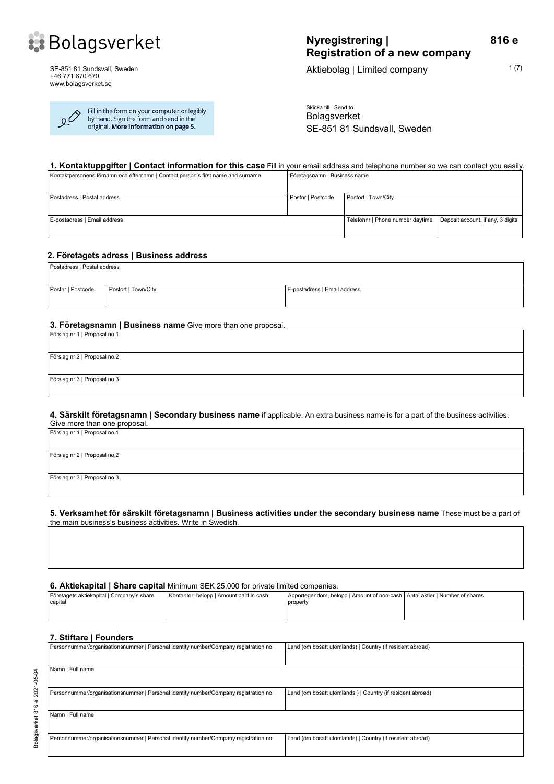

SE-851 81 Sundsvall, Sweden +46 771 670 670 www.bolagsverket.se

Fill in the form on your computer or legibly<br>by hand. Sign the form and send in the گو original. More information on page 5.

# **Nyregistrering | Registration of a new company**

Aktiebolag | Limited company  $1(7)$ 

**816 e**

Skicka till | Send to Bolagsverket SE-851 81 Sundsvall, Sweden

# **1. Kontaktuppgifter | Contact information for this case** Fill in your email address and telephone number so we can contact you easily.

| Kontaktpersonens förnamn och efternamn   Contact person's first name and surname | Företagsnamn   Business name |                                  |                                   |
|----------------------------------------------------------------------------------|------------------------------|----------------------------------|-----------------------------------|
| Postadress   Postal address                                                      | Postnr   Postcode            | Postort   Town/City              |                                   |
| E-postadress   Email address                                                     |                              | Telefonnr   Phone number daytime | Deposit account, if any, 3 digits |

#### **2. Företagets adress | Business address**

| Postadress   Postal address |                     |                              |  |
|-----------------------------|---------------------|------------------------------|--|
| Postnr   Postcode           | Postort   Town/City | E-postadress   Email address |  |

#### **3. Företagsnamn | Business name** Give more than one proposal.

| Förslag nr 1   Proposal no.1 |  |
|------------------------------|--|
|                              |  |
| Förslag nr 2   Proposal no.2 |  |
|                              |  |
| Förslag nr 3   Proposal no.3 |  |
|                              |  |

#### **4. Särskilt företagsnamn | Secondary business name** if applicable. An extra business name is for a part of the business activities.

| Give more than one proposal. |
|------------------------------|
| Förslag nr 1   Proposal no.1 |
|                              |
|                              |
| Förslag nr 2   Proposal no.2 |
|                              |
| Förslag nr 3   Proposal no.3 |
|                              |
|                              |

**5. Verksamhet för särskilt företagsnamn | Business activities under the secondary business name** These must be a part of the main business's business activities. Write in Swedish.

**6. Aktiekapital | Share capital** Minimum SEK 25,000 for private limited companies.

| Företagets aktiekapital   Company's share<br>capital | Kontanter, belopp   Amount paid in cash | Apportegendom, belopp   Amount of non-cash   Antal aktier   Number of shares<br>property |  |
|------------------------------------------------------|-----------------------------------------|------------------------------------------------------------------------------------------|--|
|                                                      |                                         |                                                                                          |  |

#### **7. Stiftare | Founders**

| Personnummer/organisationsnummer   Personal identity number/Company registration no. | Land (om bosatt utomlands)   Country (if resident abroad) |
|--------------------------------------------------------------------------------------|-----------------------------------------------------------|
|                                                                                      |                                                           |
| Namn   Full name                                                                     |                                                           |
|                                                                                      |                                                           |
| Personnummer/organisationsnummer   Personal identity number/Company registration no. | Land (om bosatt utomlands)   Country (if resident abroad) |
|                                                                                      |                                                           |
| Namn   Full name                                                                     |                                                           |
|                                                                                      |                                                           |
| Personnummer/organisationsnummer   Personal identity number/Company registration no. | Land (om bosatt utomlands)   Country (if resident abroad) |
|                                                                                      |                                                           |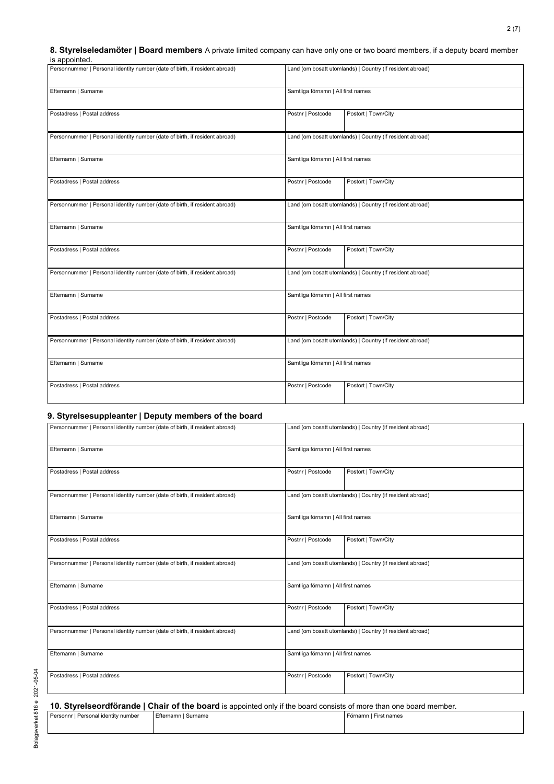# **8. Styrelseledamöter | Board members** A private limited company can have only one or two board members, if a deputy board member

| is appointed.                                                               |                   |                                                           |  |  |
|-----------------------------------------------------------------------------|-------------------|-----------------------------------------------------------|--|--|
| Personnummer   Personal identity number (date of birth, if resident abroad) |                   | Land (om bosatt utomlands)   Country (if resident abroad) |  |  |
| Efternamn   Surname                                                         |                   | Samtliga förnamn   All first names                        |  |  |
| Postadress   Postal address                                                 | Postnr   Postcode | Postort   Town/City                                       |  |  |
| Personnummer   Personal identity number (date of birth, if resident abroad) |                   | Land (om bosatt utomlands)   Country (if resident abroad) |  |  |
| Efternamn   Surname                                                         |                   | Samtliga förnamn   All first names                        |  |  |
| Postadress   Postal address                                                 | Postnr   Postcode | Postort   Town/City                                       |  |  |
| Personnummer   Personal identity number (date of birth, if resident abroad) |                   | Land (om bosatt utomlands)   Country (if resident abroad) |  |  |
| Efternamn   Surname                                                         |                   | Samtliga förnamn   All first names                        |  |  |
| Postadress   Postal address                                                 | Postnr   Postcode | Postort   Town/City                                       |  |  |
| Personnummer   Personal identity number (date of birth, if resident abroad) |                   | Land (om bosatt utomlands)   Country (if resident abroad) |  |  |
| Efternamn   Surname                                                         |                   | Samtliga förnamn   All first names                        |  |  |
| Postadress   Postal address                                                 | Postnr   Postcode | Postort   Town/City                                       |  |  |
| Personnummer   Personal identity number (date of birth, if resident abroad) |                   | Land (om bosatt utomlands)   Country (if resident abroad) |  |  |
| Efternamn   Surname                                                         |                   | Samtliga förnamn   All first names                        |  |  |
| Postadress   Postal address                                                 | Postnr   Postcode | Postort   Town/City                                       |  |  |

#### **9. Styrelsesuppleanter | Deputy members of the board**

| Personnummer   Personal identity number (date of birth, if resident abroad) | Land (om bosatt utomlands)   Country (if resident abroad) |  |  |
|-----------------------------------------------------------------------------|-----------------------------------------------------------|--|--|
| Efternamn   Surname                                                         | Samtliga förnamn   All first names                        |  |  |
| Postadress   Postal address                                                 | Postort   Town/City<br>Postnr   Postcode                  |  |  |
| Personnummer   Personal identity number (date of birth, if resident abroad) | Land (om bosatt utomlands)   Country (if resident abroad) |  |  |
| Efternamn   Surname                                                         | Samtliga förnamn   All first names                        |  |  |
| Postadress   Postal address                                                 | Postort   Town/City<br>Postnr   Postcode                  |  |  |
| Personnummer   Personal identity number (date of birth, if resident abroad) | Land (om bosatt utomlands)   Country (if resident abroad) |  |  |
| Efternamn   Surname                                                         | Samtliga förnamn   All first names                        |  |  |
| Postadress   Postal address                                                 | Postort   Town/City<br>Postnr   Postcode                  |  |  |
| Personnummer   Personal identity number (date of birth, if resident abroad) | Land (om bosatt utomlands)   Country (if resident abroad) |  |  |
| Efternamn   Surname                                                         | Samtliga förnamn   All first names                        |  |  |
| Postadress   Postal address                                                 | Postnr   Postcode<br>Postort   Town/City                  |  |  |

# **10. Styrelseordförande | Chair of the board** is appointed only if the board consists of more than one board member.

| Personnr   Personal identity number | Efternamn I Surname | Förnamn I First names |
|-------------------------------------|---------------------|-----------------------|
|                                     |                     |                       |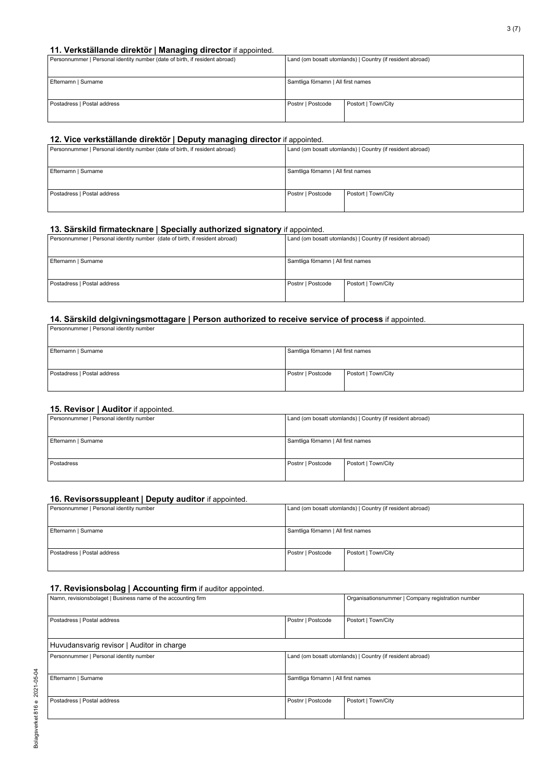#### **11. Verkställande direktör | Managing director** if appointed.

| . .<br>Personnummer   Personal identity number (date of birth, if resident abroad) | Land (om bosatt utomlands)   Country (if resident abroad) |                     |
|------------------------------------------------------------------------------------|-----------------------------------------------------------|---------------------|
| Efternamn   Surname                                                                | Samtliga förnamn   All first names                        |                     |
| Postadress   Postal address                                                        | Postnr   Postcode                                         | Postort   Town/City |

# **12. Vice verkställande direktör | Deputy managing director** if appointed.

| .                                                                           |                                                           |                     |
|-----------------------------------------------------------------------------|-----------------------------------------------------------|---------------------|
| Personnummer   Personal identity number (date of birth, if resident abroad) | Land (om bosatt utomlands)   Country (if resident abroad) |                     |
|                                                                             |                                                           |                     |
| Efternamn   Surname                                                         | Samtliga förnamn   All first names                        |                     |
|                                                                             |                                                           |                     |
| Postadress   Postal address                                                 | Postnr   Postcode                                         | Postort   Town/City |
|                                                                             |                                                           |                     |
|                                                                             |                                                           |                     |

# **13. Särskild firmatecknare | Specially authorized signatory** if appointed.

| Personnummer   Personal identity number (date of birth, if resident abroad) | Land (om bosatt utomlands)   Country (if resident abroad) |                     |
|-----------------------------------------------------------------------------|-----------------------------------------------------------|---------------------|
| Efternamn   Surname                                                         | Samtliga förnamn   All first names                        |                     |
| Postadress   Postal address                                                 | Postnr   Postcode                                         | Postort   Town/City |

#### **14. Särskild delgivningsmottagare | Person authorized to receive service of process** if appointed.

| Personnummer   Personal identity number |                                    |                     |
|-----------------------------------------|------------------------------------|---------------------|
| Efternamn   Surname                     | Samtliga förnamn   All first names |                     |
| Postadress   Postal address             | Postnr   Postcode                  | Postort   Town/City |

# **15. Revisor | Auditor** if appointed.

| .<br>Personnummer   Personal identity number |                                    | Land (om bosatt utomlands)   Country (if resident abroad) |
|----------------------------------------------|------------------------------------|-----------------------------------------------------------|
| Efternamn   Surname                          | Samtliga förnamn   All first names |                                                           |
| Postadress                                   | Postnr   Postcode                  | Postort   Town/City                                       |

#### **16. Revisorssuppleant | Deputy auditor** if appointed.

| Personnummer   Personal identity number |                                    | Land (om bosatt utomlands)   Country (if resident abroad) |
|-----------------------------------------|------------------------------------|-----------------------------------------------------------|
|                                         |                                    |                                                           |
| Efternamn   Surname                     | Samtliga förnamn   All first names |                                                           |
|                                         |                                    |                                                           |
| Postadress   Postal address             | Postnr   Postcode                  | Postort   Town/City                                       |
|                                         |                                    |                                                           |

#### **17. Revisionsbolag | Accounting firm** if auditor appointed.

| Namn, revisionsbolaget   Business name of the accounting firm |                                    | Organisationsnummer   Company registration number         |
|---------------------------------------------------------------|------------------------------------|-----------------------------------------------------------|
| Postadress   Postal address                                   | Postnr   Postcode                  | Postort   Town/City                                       |
| Huvudansvarig revisor   Auditor in charge                     |                                    |                                                           |
| Personnummer   Personal identity number                       |                                    | Land (om bosatt utomlands)   Country (if resident abroad) |
| Efternamn   Surname                                           | Samtliga förnamn   All first names |                                                           |
| Postadress   Postal address                                   | Postnr   Postcode                  | Postort   Town/City                                       |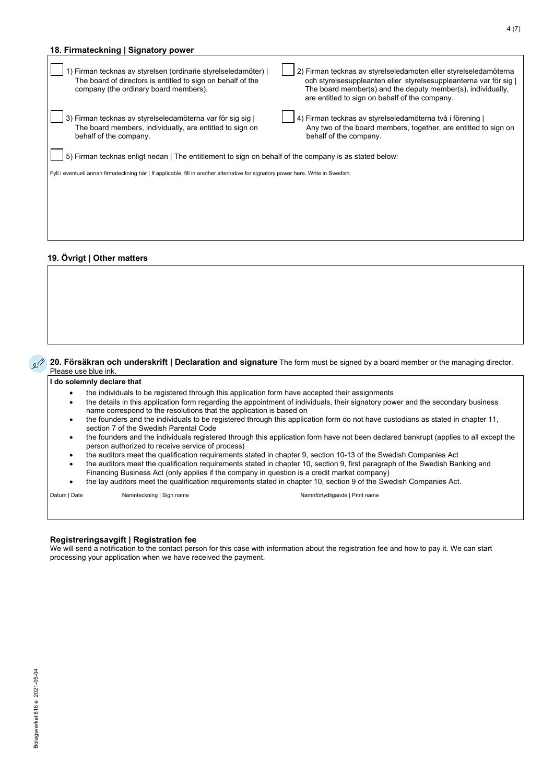| 18. Firmateckning   Signatory power                                                                                                                                                                                                        |                                                                                                                                                                                                                                                      |  |
|--------------------------------------------------------------------------------------------------------------------------------------------------------------------------------------------------------------------------------------------|------------------------------------------------------------------------------------------------------------------------------------------------------------------------------------------------------------------------------------------------------|--|
| 1) Firman tecknas av styrelsen (ordinarie styrelseledamöter)  <br>The board of directors is entitled to sign on behalf of the<br>company (the ordinary board members).                                                                     | 2) Firman tecknas av styrelseledamoten eller styrelseledamöterna<br>och styrelsesuppleanten eller styrelsesuppleanterna var för sig<br>The board member(s) and the deputy member(s), individually,<br>are entitled to sign on behalf of the company. |  |
| 3) Firman tecknas av styrelseledamöterna var för sig sig  <br>The board members, individually, are entitled to sign on<br>behalf of the company.                                                                                           | 4) Firman tecknas av styrelseledamöterna två i förening<br>Any two of the board members, together, are entitled to sign on<br>behalf of the company.                                                                                                 |  |
| 5) Firman tecknas enligt nedan   The entitlement to sign on behalf of the company is as stated below:<br>Fyll i eventuell annan firmateckning här   If applicable, fill in another alternative for signatory power here. Write in Swedish. |                                                                                                                                                                                                                                                      |  |
|                                                                                                                                                                                                                                            |                                                                                                                                                                                                                                                      |  |
|                                                                                                                                                                                                                                            |                                                                                                                                                                                                                                                      |  |

# **19. Övrigt | Other matters**

**20. Försäkran och underskrift | Declaration and signature** The form must be signed by a board member or the managing director. Please use blue ink.

#### **I do solemnly declare that**

- the individuals to be registered through this application form have accepted their assignments
- the details in this application form regarding the appointment of individuals, their signatory power and the secondary business name correspond to the resolutions that the application is based on
- the founders and the individuals to be registered through this application form do not have custodians as stated in chapter 11, section 7 of the Swedish Parental Code
- the founders and the individuals registered through this application form have not been declared bankrupt (applies to all except the person authorized to receive service of process)
- the auditors meet the qualification requirements stated in chapter 9, section 10-13 of the Swedish Companies Act
- the auditors meet the qualification requirements stated in chapter 10, section 9, first paragraph of the Swedish Banking and Financing Business Act (only applies if the company in question is a credit market company)
- the lay auditors meet the qualification requirements stated in chapter 10, section 9 of the Swedish Companies Act.

Datum | Date Namnteckning | Sign name Namnförtydligande | Print name

# **Registreringsavgift | Registration fee**

We will send a notification to the contact person for this case with information about the registration fee and how to pay it. We can start processing your application when we have received the payment.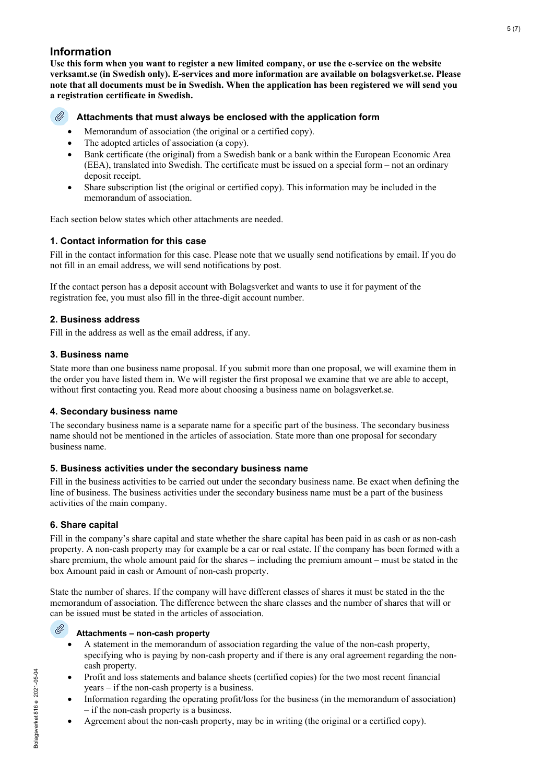# **Information**

**Use this form when you want to register a new limited company, or use the e-service on the website verksamt.se (in Swedish only). E-services and more information are available on bolagsverket.se. Please note that all documents must be in Swedish. When the application has been registered we will send you a registration certificate in Swedish.**

#### O **Attachments that must always be enclosed with the application form**

- Memorandum of association (the original or a certified copy).
- The adopted articles of association (a copy).
- Bank certificate (the original) from a Swedish bank or a bank within the European Economic Area (EEA), translated into Swedish. The certificate must be issued on a special form – not an ordinary deposit receipt.
- Share subscription list (the original or certified copy). This information may be included in the memorandum of association.

Each section below states which other attachments are needed.

# **1. Contact information for this case**

Fill in the contact information for this case. Please note that we usually send notifications by email. If you do not fill in an email address, we will send notifications by post.

If the contact person has a deposit account with Bolagsverket and wants to use it for payment of the registration fee, you must also fill in the three-digit account number.

# **2. Business address**

Fill in the address as well as the email address, if any.

# **3. Business name**

State more than one business name proposal. If you submit more than one proposal, we will examine them in the order you have listed them in. We will register the first proposal we examine that we are able to accept, without first contacting you. Read more about choosing a business name on bolagsverket.se.

# **4. Secondary business name**

The secondary business name is a separate name for a specific part of the business. The secondary business name should not be mentioned in the articles of association. State more than one proposal for secondary business name.

# **5. Business activities under the secondary business name**

Fill in the business activities to be carried out under the secondary business name. Be exact when defining the line of business. The business activities under the secondary business name must be a part of the business activities of the main company.

# **6. Share capital**

Fill in the company's share capital and state whether the share capital has been paid in as cash or as non-cash property. A non-cash property may for example be a car or real estate. If the company has been formed with a share premium, the whole amount paid for the shares – including the premium amount – must be stated in the box Amount paid in cash or Amount of non-cash property.

State the number of shares. If the company will have different classes of shares it must be stated in the the memorandum of association. The difference between the share classes and the number of shares that will or can be issued must be stated in the articles of association.

# **Attachments – non-cash property**

- A statement in the memorandum of association regarding the value of the non-cash property, specifying who is paying by non-cash property and if there is any oral agreement regarding the noncash property.
- Profit and loss statements and balance sheets (certified copies) for the two most recent financial years – if the non-cash property is a business.
- Information regarding the operating profit/loss for the business (in the memorandum of association) – if the non-cash property is a business.
- Agreement about the non-cash property, may be in writing (the original or a certified copy).

Ø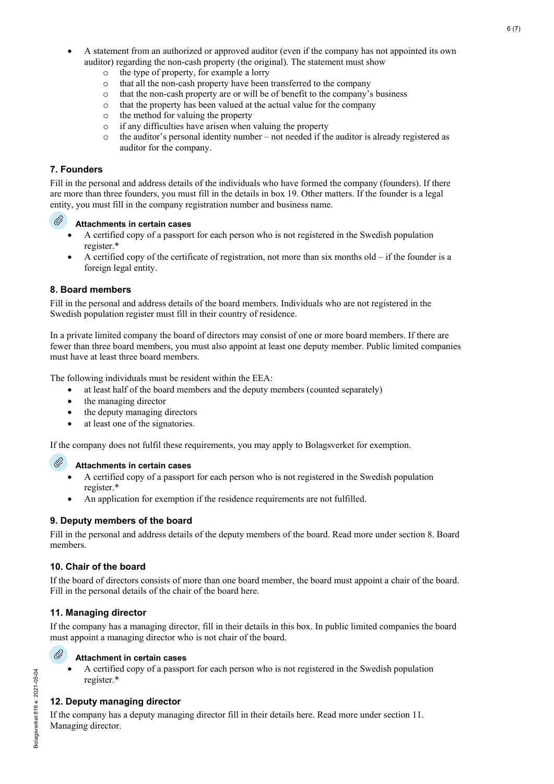- A statement from an authorized or approved auditor (even if the company has not appointed its own auditor) regarding the non-cash property (the original). The statement must show
	- o the type of property, for example a lorry
	- o that all the non-cash property have been transferred to the company
	- $\circ$  that the non-cash property are or will be of benefit to the company's business  $\circ$  that the property has been valued at the actual value for the company
	- that the property has been valued at the actual value for the company
	- o the method for valuing the property
	- $\circ$  if any difficulties have arisen when valuing the property<br> $\circ$  the auditor's personal identity number not needed if the
	- the auditor's personal identity number not needed if the auditor is already registered as auditor for the company.

# **7. Founders**

Fill in the personal and address details of the individuals who have formed the company (founders). If there are more than three founders, you must fill in the details in box 19. Other matters. If the founder is a legal entity, you must fill in the company registration number and business name.



# **Attachments in certain cases**

- A certified copy of a passport for each person who is not registered in the Swedish population register.\*
- A certified copy of the certificate of registration, not more than six months  $old if$  the founder is a foreign legal entity.

# **8. Board members**

Fill in the personal and address details of the board members. Individuals who are not registered in the Swedish population register must fill in their country of residence.

In a private limited company the board of directors may consist of one or more board members. If there are fewer than three board members, you must also appoint at least one deputy member. Public limited companies must have at least three board members.

The following individuals must be resident within the EEA:

- at least half of the board members and the deputy members (counted separately)
- the managing director
- the deputy managing directors
- at least one of the signatories.

If the company does not fulfil these requirements, you may apply to Bolagsverket for exemption.

#### Ø **Attachments in certain cases**

- A certified copy of a passport for each person who is not registered in the Swedish population register.\*
- An application for exemption if the residence requirements are not fulfilled.

# **9. Deputy members of the board**

Fill in the personal and address details of the deputy members of the board. Read more under section 8. Board members.

# **10. Chair of the board**

If the board of directors consists of more than one board member, the board must appoint a chair of the board. Fill in the personal details of the chair of the board here.

# **11. Managing director**

If the company has a managing director, fill in their details in this box. In public limited companies the board must appoint a managing director who is not chair of the board.



# **Attachment in certain cases**

• A certified copy of a passport for each person who is not registered in the Swedish population register.\*

# **12. Deputy managing director**

If the company has a deputy managing director fill in their details here. Read more under section 11. Managing director.